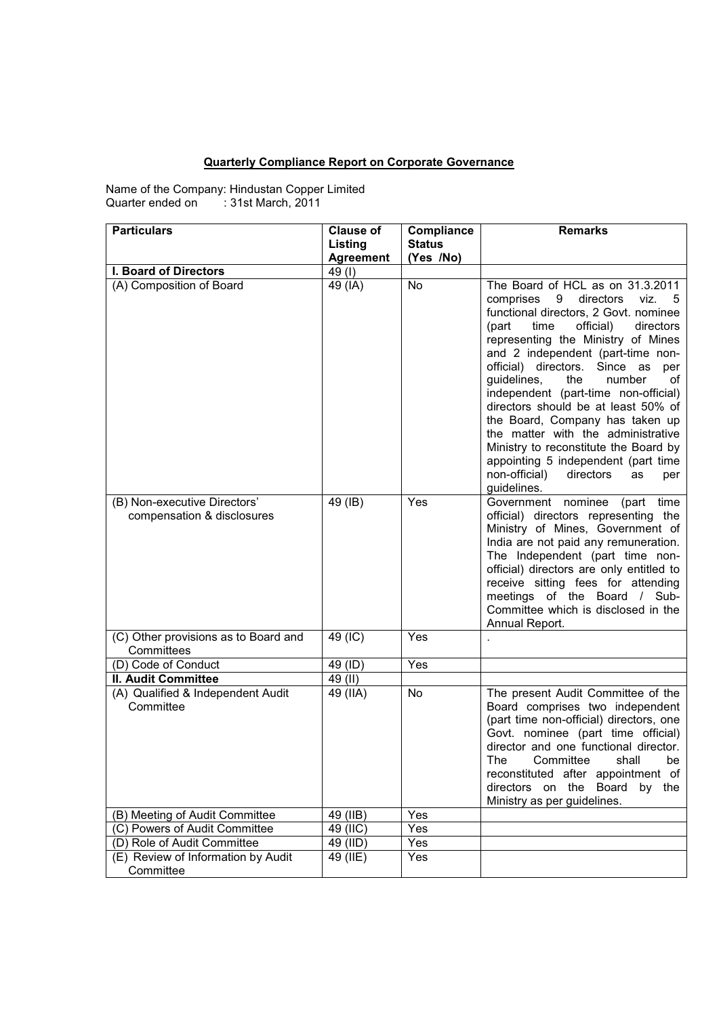## **Quarterly Compliance Report on Corporate Governance**

Name of the Company: Hindustan Copper Limited Quarter ended on : 31st March, 2011

| <b>Particulars</b>                                         | <b>Clause of</b> | Compliance    | <b>Remarks</b>                                                                                                                                                                                                                                                                                                                                                                                                                                                                                                                                                                                                              |
|------------------------------------------------------------|------------------|---------------|-----------------------------------------------------------------------------------------------------------------------------------------------------------------------------------------------------------------------------------------------------------------------------------------------------------------------------------------------------------------------------------------------------------------------------------------------------------------------------------------------------------------------------------------------------------------------------------------------------------------------------|
|                                                            | Listing          | <b>Status</b> |                                                                                                                                                                                                                                                                                                                                                                                                                                                                                                                                                                                                                             |
|                                                            | <b>Agreement</b> | (Yes /No)     |                                                                                                                                                                                                                                                                                                                                                                                                                                                                                                                                                                                                                             |
| I. Board of Directors                                      | 49(I)            |               |                                                                                                                                                                                                                                                                                                                                                                                                                                                                                                                                                                                                                             |
| (A) Composition of Board                                   | 49 (IA)          | <b>No</b>     | The Board of HCL as on 31.3.2011<br>comprises<br>9<br>directors<br>viz.<br>5<br>functional directors, 2 Govt. nominee<br>(part<br>time<br>official)<br>directors<br>representing the Ministry of Mines<br>and 2 independent (part-time non-<br>official) directors. Since as<br>per<br>the<br>number<br>guidelines,<br>of<br>independent (part-time non-official)<br>directors should be at least 50% of<br>the Board, Company has taken up<br>the matter with the administrative<br>Ministry to reconstitute the Board by<br>appointing 5 independent (part time<br>non-official)<br>directors<br>as<br>per<br>guidelines. |
| (B) Non-executive Directors'<br>compensation & disclosures | 49 (IB)          | Yes           | Government nominee<br>(part time<br>official) directors representing the<br>Ministry of Mines, Government of<br>India are not paid any remuneration.<br>The Independent (part time non-<br>official) directors are only entitled to<br>receive sitting fees for attending<br>meetings of the Board / Sub-<br>Committee which is disclosed in the<br>Annual Report.                                                                                                                                                                                                                                                          |
| (C) Other provisions as to Board and<br>Committees         | 49 (IC)          | Yes           |                                                                                                                                                                                                                                                                                                                                                                                                                                                                                                                                                                                                                             |
| (D) Code of Conduct                                        | 49 (ID)          | Yes           |                                                                                                                                                                                                                                                                                                                                                                                                                                                                                                                                                                                                                             |
| <b>II. Audit Committee</b>                                 | 49 (II)          |               |                                                                                                                                                                                                                                                                                                                                                                                                                                                                                                                                                                                                                             |
| (A) Qualified & Independent Audit<br>Committee             | 49 (IIA)         | No            | The present Audit Committee of the<br>Board comprises two independent<br>(part time non-official) directors, one<br>Govt. nominee (part time official)<br>director and one functional director.<br>The<br>Committee<br>shall<br>be<br>reconstituted after appointment of<br>directors on the Board by the<br>Ministry as per guidelines.                                                                                                                                                                                                                                                                                    |
| (B) Meeting of Audit Committee                             | 49 (IIB)         | Yes           |                                                                                                                                                                                                                                                                                                                                                                                                                                                                                                                                                                                                                             |
| (C) Powers of Audit Committee                              | 49 (IIC)         | Yes           |                                                                                                                                                                                                                                                                                                                                                                                                                                                                                                                                                                                                                             |
| (D) Role of Audit Committee                                | 49 (IID)         | Yes           |                                                                                                                                                                                                                                                                                                                                                                                                                                                                                                                                                                                                                             |
| (E) Review of Information by Audit<br>Committee            | 49 (IIE)         | Yes           |                                                                                                                                                                                                                                                                                                                                                                                                                                                                                                                                                                                                                             |